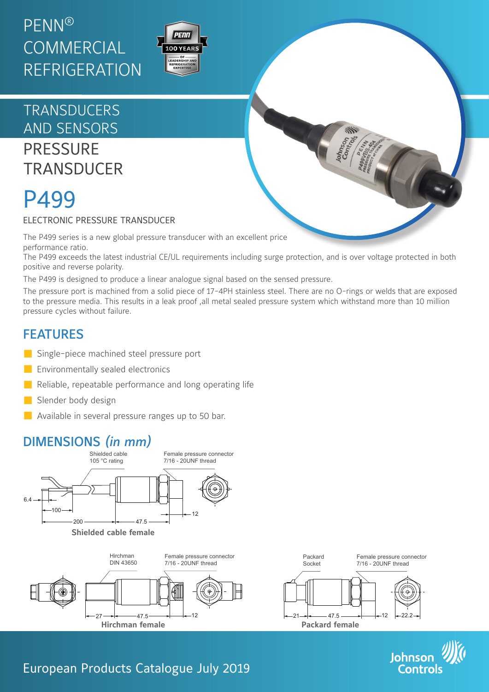# PENN® **COMMERCIAL** REFRIGERATION



# **TRANSDUCERS** AND SENSORS

**PRESSURE TRANSDUCER** 

# P499

#### ELECTRONIC PRESSURE TRANSDUCER

The P499 series is a new global pressure transducer with an excellent price performance ratio.

The P499 exceeds the latest industrial CE/UL requirements including surge protection, and is over voltage protected in both positive and reverse polarity.

The P499 is designed to produce a linear analogue signal based on the sensed pressure.

The pressure port is machined from a solid piece of 17-4PH stainless steel. There are no O-rings or welds that are exposed to the pressure media. This results in a leak proof ,all metal sealed pressure system which withstand more than 10 million pressure cycles without failure.

## FEATURES

- Single-piece machined steel pressure port
- **Environmentally sealed electronics**
- $\blacksquare$  Reliable, repeatable performance and long operating life
- Slender body design
- **Available in several pressure ranges up to 50 bar.**

# DIMENSIONS *(in mm)*







### European Products Catalogue July 2019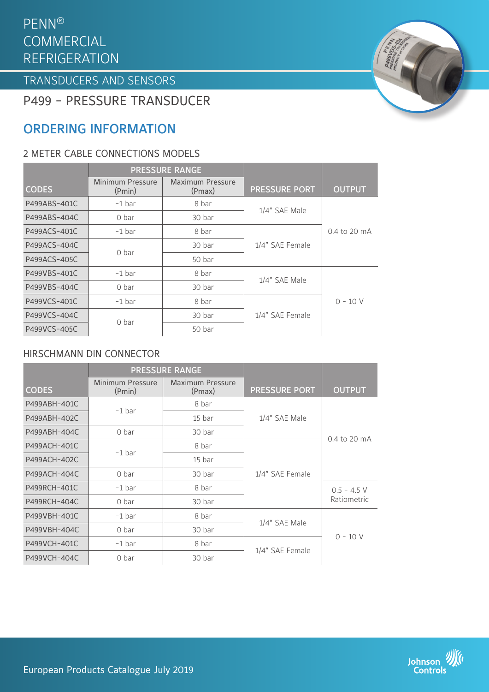#### $\mathsf{PENN}^{\circledR}$ COIVIIVIERCIAI<br>DEEDICED ATI **COMMERCIAL** REFRIGERATION

TRANSDUCERS TRANSDUCERS AND SENSORS

P499 - PRESSURE TRANSDUCER

# ORDERING INFORMATION

#### 2 METER CABLE CONNECTIONS MODELS

|              | <b>PRESSURE RANGE</b>      |                            |                      |                |
|--------------|----------------------------|----------------------------|----------------------|----------------|
| <b>CODES</b> | Minimum Pressure<br>(Pmin) | Maximum Pressure<br>(Pmax) | <b>PRESSURE PORT</b> | <b>OUTPUT</b>  |
| P499ABS-401C | $-1$ bar                   | 8 bar                      | 1/4" SAE Male        | $0.4$ to 20 mA |
| P499ABS-404C | 0 bar                      | 30 bar                     |                      |                |
| P499ACS-401C | $-1$ bar                   | 8 bar                      | 1/4" SAE Female      |                |
| P499ACS-404C | 0 <sub>bar</sub>           | 30 bar                     |                      |                |
| P499ACS-405C |                            | 50 bar                     |                      |                |
| P499VBS-401C | $-1$ bar                   | 8 bar                      | 1/4" SAE Male        |                |
| P499VBS-404C | 0 bar                      | 30 bar                     |                      |                |
| P499VCS-401C | $-1$ bar                   | 8 bar                      |                      | $0 - 10 V$     |
| P499VCS-404C | 0 bar                      | 30 bar                     | 1/4" SAE Female      |                |
| P499VCS-405C |                            | 50 bar                     |                      |                |

#### HIRSCHMANN DIN CONNECTOR

|              | <b>PRESSURE RANGE</b>      |                                   |                      |                              |
|--------------|----------------------------|-----------------------------------|----------------------|------------------------------|
| <b>CODES</b> | Minimum Pressure<br>(Pmin) | <b>Maximum Pressure</b><br>(Pmax) | <b>PRESSURE PORT</b> | <b>OUTPUT</b>                |
| P499ABH-401C | $-1$ bar                   | 8 bar                             | 1/4" SAE Male        |                              |
| P499ABH-402C |                            | 15 bar                            |                      |                              |
| P499ABH-404C | 0 bar                      | 30 bar                            |                      | $0.4$ to 20 mA               |
| P499ACH-401C | $-1$ bar                   | 8 bar                             |                      |                              |
| P499ACH-402C |                            | 15 bar                            |                      |                              |
| P499ACH-404C | 0 bar                      | 30 bar                            | 1/4" SAE Female      |                              |
| P499RCH-401C | $-1$ bar                   | 8 bar                             |                      | $0.5 - 4.5$ V<br>Ratiometric |
| P499RCH-404C | 0 bar                      | 30 bar                            |                      |                              |
| P499VBH-401C | $-1$ bar                   | 8 bar                             | 1/4" SAE Male        | $0 - 10 V$                   |
| P499VBH-404C | 0 bar                      | 30 bar                            |                      |                              |
| P499VCH-401C | $-1$ bar                   | 8 bar                             | 1/4" SAE Female      |                              |
| P499VCH-404C | 0 bar                      | 30 bar                            |                      |                              |